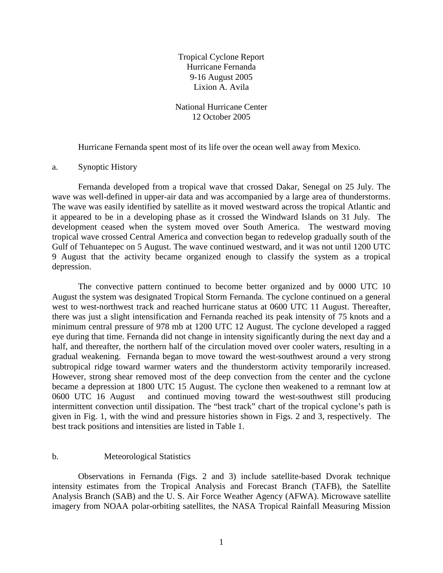Tropical Cyclone Report Hurricane Fernanda 9-16 August 2005 Lixion A. Avila

National Hurricane Center 12 October 2005

Hurricane Fernanda spent most of its life over the ocean well away from Mexico.

## a. Synoptic History

Fernanda developed from a tropical wave that crossed Dakar, Senegal on 25 July. The wave was well-defined in upper-air data and was accompanied by a large area of thunderstorms. The wave was easily identified by satellite as it moved westward across the tropical Atlantic and it appeared to be in a developing phase as it crossed the Windward Islands on 31 July. The development ceased when the system moved over South America. The westward moving tropical wave crossed Central America and convection began to redevelop gradually south of the Gulf of Tehuantepec on 5 August. The wave continued westward, and it was not until 1200 UTC 9 August that the activity became organized enough to classify the system as a tropical depression.

The convective pattern continued to become better organized and by 0000 UTC 10 August the system was designated Tropical Storm Fernanda. The cyclone continued on a general west to west-northwest track and reached hurricane status at 0600 UTC 11 August. Thereafter, there was just a slight intensification and Fernanda reached its peak intensity of 75 knots and a minimum central pressure of 978 mb at 1200 UTC 12 August. The cyclone developed a ragged eye during that time. Fernanda did not change in intensity significantly during the next day and a half, and thereafter, the northern half of the circulation moved over cooler waters, resulting in a gradual weakening. Fernanda began to move toward the west-southwest around a very strong subtropical ridge toward warmer waters and the thunderstorm activity temporarily increased. However, strong shear removed most of the deep convection from the center and the cyclone became a depression at 1800 UTC 15 August. The cyclone then weakened to a remnant low at 0600 UTC 16 August and continued moving toward the west-southwest still producing intermittent convection until dissipation. The "best track" chart of the tropical cyclone's path is given in Fig. 1, with the wind and pressure histories shown in Figs. 2 and 3, respectively. The best track positions and intensities are listed in Table 1.

## b. Meteorological Statistics

 Observations in Fernanda (Figs. 2 and 3) include satellite-based Dvorak technique intensity estimates from the Tropical Analysis and Forecast Branch (TAFB), the Satellite Analysis Branch (SAB) and the U. S. Air Force Weather Agency (AFWA). Microwave satellite imagery from NOAA polar-orbiting satellites, the NASA Tropical Rainfall Measuring Mission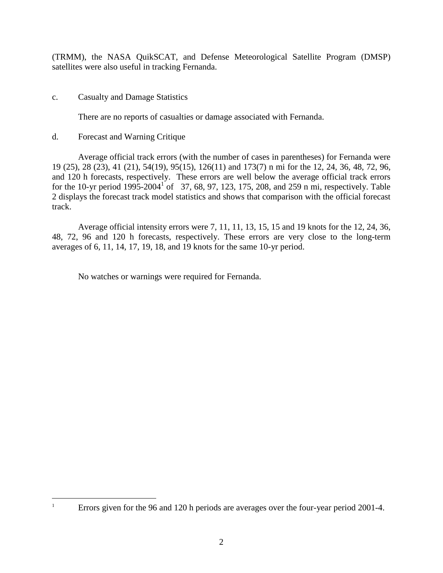(TRMM), the NASA QuikSCAT, and Defense Meteorological Satellite Program (DMSP) satellites were also useful in tracking Fernanda.

c. Casualty and Damage Statistics

There are no reports of casualties or damage associated with Fernanda.

d. Forecast and Warning Critique

 Average official track errors (with the number of cases in parentheses) for Fernanda were 19 (25), 28 (23), 41 (21), 54(19), 95(15), 126(11) and 173(7) n mi for the 12, 24, 36, 48, 72, 96, and 120 h forecasts, respectively. These errors are well below the average official track errors for the 10-yr period  $1995-2004^{1}$  of 37, 68, 97, 123, 175, 208, and 259 n mi, respectively. Table 2 displays the forecast track model statistics and shows that comparison with the official forecast track.

 Average official intensity errors were 7, 11, 11, 13, 15, 15 and 19 knots for the 12, 24, 36, 48, 72, 96 and 120 h forecasts, respectively. These errors are very close to the long-term averages of 6, 11, 14, 17, 19, 18, and 19 knots for the same 10-yr period.

No watches or warnings were required for Fernanda.

<u>.</u> 1

Errors given for the 96 and 120 h periods are averages over the four-year period 2001-4.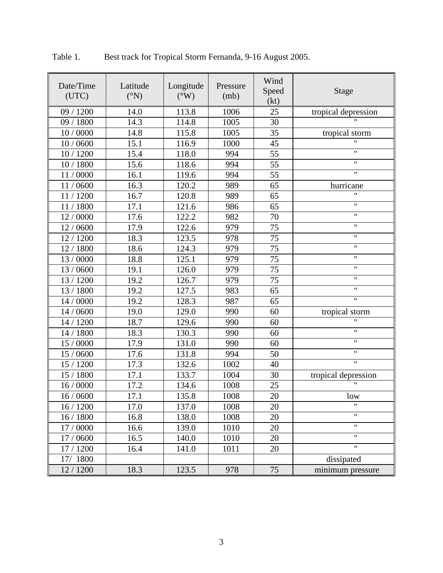| Date/Time<br>(UTC) | Latitude<br>$({}^{\circ}N)$ | Longitude<br>$(^{\circ}W)$ | Pressure<br>(mb) | Wind<br>Speed<br>(kt) | <b>Stage</b>              |  |
|--------------------|-----------------------------|----------------------------|------------------|-----------------------|---------------------------|--|
| 09 / 1200          | 14.0                        | 113.8                      | 1006             | 25                    | tropical depression       |  |
| 09 / 1800          | 14.3                        | 114.8                      | 1005             | 30                    |                           |  |
| 10 / 0000          | 14.8                        | 115.8                      | 1005             | 35                    | tropical storm            |  |
| 10 / 0600          | 15.1                        | 116.9                      | 1000             | 45                    | $\boldsymbol{\mathsf{H}}$ |  |
| 10 / 1200          | 15.4                        | 118.0                      | 994              | 55                    | $\pmb{\mathsf{H}}$        |  |
| 10 / 1800          | 15.6                        | 118.6                      | 994              | 55                    | $\pmb{\mathsf{H}}$        |  |
| 11/0000            | 16.1                        | 119.6                      | 994              | 55                    | $\pmb{\mathsf{H}}$        |  |
| 11/0600            | 16.3                        | 120.2                      | 989              | 65                    | hurricane                 |  |
| 11/1200            | 16.7                        | 120.8                      | 989              | 65                    | Ħ                         |  |
| 11/1800            | 17.1                        | 121.6                      | 986              | 65                    | $\pmb{\mathsf{H}}$        |  |
| 12/0000            | 17.6                        | 122.2                      | 982              | 70                    | $\pmb{\mathsf{H}}$        |  |
| 12/0600            | 17.9                        | 122.6                      | 979              | 75                    | $\pmb{\mathsf{H}}$        |  |
| 12 / 1200          | 18.3                        | 123.5                      | 978              | 75                    | $\pmb{\mathsf{H}}$        |  |
| 12/1800            | 18.6                        | 124.3                      | 979              | 75                    | $\pmb{\mathsf{H}}$        |  |
| 13 / 0000          | 18.8                        | 125.1                      | 979              | 75                    | $\pmb{\mathsf{H}}$        |  |
| 13 / 0600          | 19.1                        | 126.0                      | 979              | 75                    | $\pmb{\mathsf{H}}$        |  |
| 13 / 1200          | 19.2                        | 126.7                      | 979              | 75                    | $\pmb{\mathsf{H}}$        |  |
| 13 / 1800          | 19.2                        | 127.5                      | 983              | 65                    | $\pmb{\mathsf{H}}$        |  |
| 14 / 0000          | 19.2                        | 128.3                      | 987              | 65                    | $\pmb{\mathsf{H}}$        |  |
| 14 / 0600          | 19.0                        | 129.0                      | 990              | 60                    | tropical storm            |  |
| 14 / 1200          | 18.7                        | 129.6                      | 990              | 60                    | $^{\prime}$               |  |
| 14 / 1800          | 18.3                        | 130.3                      | 990              | 60                    | $\pmb{\mathsf{H}}$        |  |
| 15 / 0000          | 17.9                        | 131.0                      | 990              | 60                    | $\pmb{\mathsf{H}}$        |  |
| 15 / 0600          | 17.6                        | 131.8                      | 994              | 50                    | $\pmb{\mathsf{H}}$        |  |
| 15 / 1200          | 17.3                        | 132.6                      | 1002             | 40                    | $\mathbf{H}$              |  |
| 15 / 1800          | 17.1                        | 133.7                      | 1004             | 30                    | tropical depression       |  |
| 16/0000            | 17.2                        | 134.6                      | 1008             | 25                    | $\mathbf{H}$              |  |
| $16/0600$          | 17.1                        | 135.8                      | 1008             | 20                    | low                       |  |
| 16 / 1200          | 17.0                        | 137.0                      | 1008             | 20                    |                           |  |
| 16/1800            | 16.8                        | 138.0                      | 1008             | 20                    | $\pmb{\mathsf{H}}$        |  |
| 17 / 0000          | 16.6                        | 139.0                      | 1010             | 20                    | $\pmb{\mathsf{H}}$        |  |
| 17 / 0600          | 16.5                        | 140.0                      | 1010             | 20                    | $\boldsymbol{\mathsf{H}}$ |  |
| 17 / 1200          | 16.4                        | 141.0                      | 1011             | 20                    | $\pmb{\mathsf{H}}$        |  |
| 17/1800            |                             |                            |                  |                       | dissipated                |  |
| 12 / 1200          | 18.3                        | 123.5                      | 978              | 75                    | minimum pressure          |  |

Table 1. Best track for Tropical Storm Fernanda, 9-16 August 2005.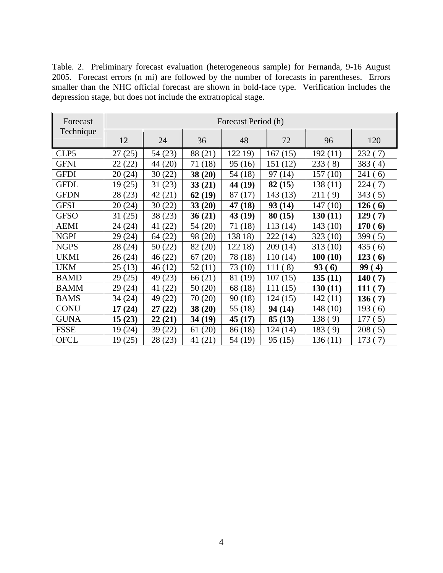Table. 2. Preliminary forecast evaluation (heterogeneous sample) for Fernanda, 9-16 August 2005. Forecast errors (n mi) are followed by the number of forecasts in parentheses. Errors smaller than the NHC official forecast are shown in bold-face type. Verification includes the depression stage, but does not include the extratropical stage.

| Forecast    | Forecast Period (h) |            |            |            |            |            |                        |  |  |
|-------------|---------------------|------------|------------|------------|------------|------------|------------------------|--|--|
| Technique   | 12                  | 24         | 36         | 48         | 72         | 96         | 120                    |  |  |
| CLP5        | 27(25)              | 54 (23)    | 88 (21)    | 122 19)    | 167(15)    | 192(11)    | 232(7)                 |  |  |
| <b>GFNI</b> | 22(22)              | 44 (20)    | 71 (18)    | 95(16)     | 151 (12)   | 233(8)     | 383<br>4)              |  |  |
| <b>GFDI</b> | 20(24)              | 30(22)     | 38(20)     | 54 (18)    | 97(14)     | 157(10)    | 241<br>6)              |  |  |
| <b>GFDL</b> | 19(25)              | 31(23)     | 33(21)     | 44 (19)    | 82(15)     | 138 (11)   | 224<br>7)              |  |  |
| <b>GFDN</b> | 28 (23)             | 42 (21)    | 62(19)     | 87<br>(17) | 143(13)    | 211<br>(9) | 343<br>(5)             |  |  |
| <b>GFSI</b> | 20(24)              | 30(22)     | 33(20)     | 47 (18)    | 93(14)     | 147(10)    | 126(6)                 |  |  |
| <b>GFSO</b> | 31(25)              | 38 (23)    | 36(21)     | 43 (19)    | 80(15)     | 130(11)    | 129<br>7)              |  |  |
| <b>AEMI</b> | 24 (24)             | (22)<br>41 | 54 (20)    | 71 (18)    | 113(14)    | 143(10)    | 170<br>6               |  |  |
| <b>NGPI</b> | 29 (24)             | 64 (22)    | 98 (20)    | 138 18)    | 222 (14)   | 323(10)    | 399(5)                 |  |  |
| <b>NGPS</b> | 28 (24)             | 50 (22)    | 82 (20)    | 122 18)    | 209(14)    | 313(10)    | 435 (<br>6)            |  |  |
| <b>UKMI</b> | 26(24)              | 46 (22)    | (20)<br>67 | 78 (18)    | 110(14)    | 100(10)    | 123(6)                 |  |  |
| <b>UKM</b>  | 25(13)              | 46 (12)    | 52(11)     | 73 (10)    | 111<br>(8) | 93(6)      | 99<br>$\boldsymbol{4}$ |  |  |
| <b>BAMD</b> | 29 (25)             | 49 (23)    | 66 (21)    | 81 (19)    | 107(15)    | 135(11)    | <b>140</b><br>7)       |  |  |
| <b>BAMM</b> | 29 (24)             | (22)<br>41 | 50(20)     | 68 (18)    | 111(15)    | 130(11)    | 111<br>7)              |  |  |
| <b>BAMS</b> | 34 (24)             | 49<br>(22) | 70<br>(20) | 90(18)     | 124 (15)   | 142(11)    | 136 <sub>0</sub><br>7) |  |  |
| <b>CONU</b> | 17(24)              | 27(22)     | 38(20)     | 55 (18)    | 94 (14)    | 148(10)    | 193(6)                 |  |  |
| <b>GUNA</b> | 15(23)              | 22(21)     | 34 (19)    | 45(17)     | 85(13)     | 138(9)     | 177<br>5)              |  |  |
| <b>FSSE</b> | 19(24)              | 39 (22)    | (20)<br>61 | 86 (18)    | 124(14)    | 183(9)     | 208<br>(5)             |  |  |
| <b>OFCL</b> | 19(25)              | 28 (23)    | 41 (21)    | 54 (19)    | 95(15)     | 136(11)    | 173<br>(7)             |  |  |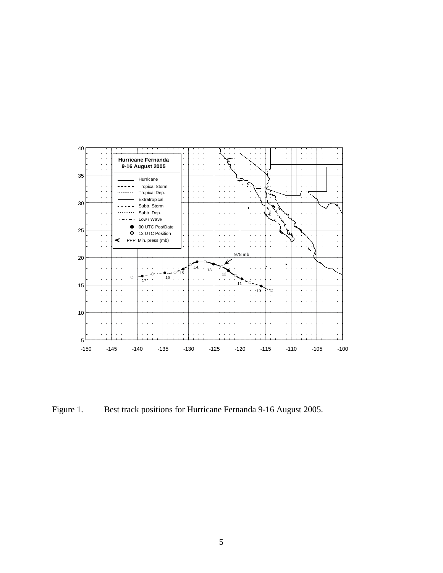

Figure 1. Best track positions for Hurricane Fernanda 9-16 August 2005.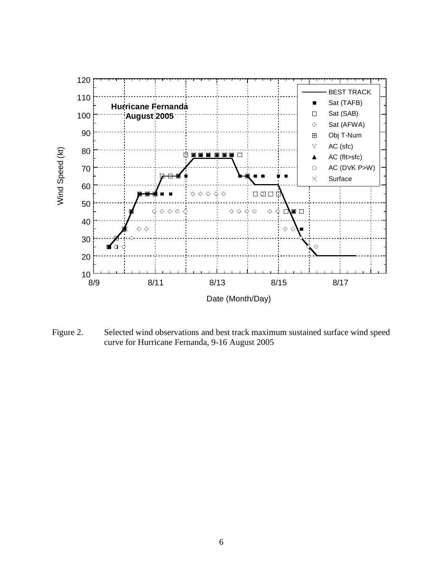

Figure 2. Selected wind observations and best track maximum sustained surface wind speed curve for Hurricane Fernanda, 9-16 August 2005